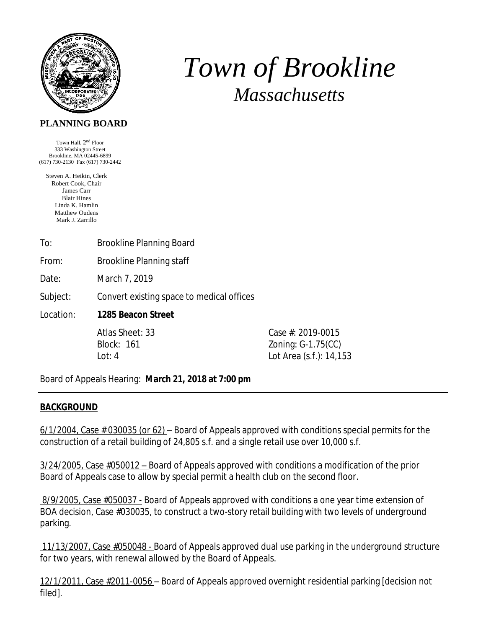

# *Town of Brookline Massachusetts*

#### **PLANNING BOARD**

Town Hall,  $2<sup>nd</sup>$  Floor 333 Washington Street Brookline, MA 02445-6899 (617) 730-2130 Fax (617) 730-2442

Steven A. Heikin, Clerk Robert Cook, Chair James Carr Blair Hines Linda K. Hamlin Matthew Oudens Mark J. Zarrillo

| To: | <b>Brookline Planning Board</b> |
|-----|---------------------------------|
|     |                                 |

From: Brookline Planning staff

Date: March 7, 2019

Subject: Convert existing space to medical offices

Location: **1285 Beacon Street** 

Atlas Sheet: 33 Case #: 2019-0015 Block: 161 Zoning: G-1.75(CC) Lot: 4 Lot Area (s.f.): 14,153

Board of Appeals Hearing: **March 21, 2018 at 7:00 pm**

#### **BACKGROUND**

 $6/1/2004$ , Case  $\#$  030035 (or 62) – Board of Appeals approved with conditions special permits for the construction of a retail building of 24,805 s.f. and a single retail use over 10,000 s.f.

3/24/2005, Case #050012 – Board of Appeals approved with conditions a modification of the prior Board of Appeals case to allow by special permit a health club on the second floor.

8/9/2005, Case #050037 - Board of Appeals approved with conditions a one year time extension of BOA decision, Case #030035, to construct a two-story retail building with two levels of underground parking.

 11/13/2007, Case #050048 - Board of Appeals approved dual use parking in the underground structure for two years, with renewal allowed by the Board of Appeals.

12/1/2011, Case #2011-0056 – Board of Appeals approved overnight residential parking [decision not filed].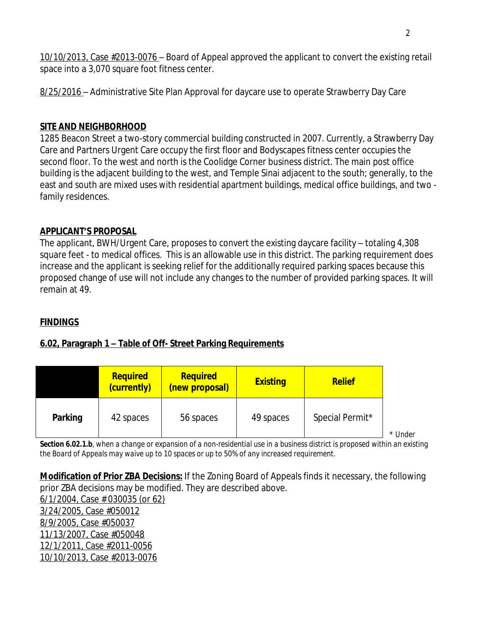10/10/2013, Case #2013-0076 – Board of Appeal approved the applicant to convert the existing retail space into a 3,070 square foot fitness center.

8/25/2016 – Administrative Site Plan Approval for daycare use to operate Strawberry Day Care

### **SITE AND NEIGHBORHOOD**

1285 Beacon Street a two-story commercial building constructed in 2007. Currently, a Strawberry Day Care and Partners Urgent Care occupy the first floor and Bodyscapes fitness center occupies the second floor. To the west and north is the Coolidge Corner business district. The main post office building is the adjacent building to the west, and Temple Sinai adjacent to the south; generally, to the east and south are mixed uses with residential apartment buildings, medical office buildings, and two family residences.

#### **APPLICANT'S PROPOSAL**

The applicant, BWH/Urgent Care, proposes to convert the existing daycare facility – totaling 4,308 square feet - to medical offices. This is an allowable use in this district. The parking requirement does increase and the applicant is seeking relief for the additionally required parking spaces because this proposed change of use will not include any changes to the number of provided parking spaces. It will remain at 49.

# **FINDINGS**

# **6.02, Paragraph 1 – Table of Off- Street Parking Requirements**

|         | <b>Required</b><br>(currently) | <b>Required</b><br>(new proposal) | <b>Existing</b> | <b>Relief</b>   |
|---------|--------------------------------|-----------------------------------|-----------------|-----------------|
| Parking | 42 spaces                      | 56 spaces                         | 49 spaces       | Special Permit* |

*Section 6.02.1.b, when a change or expansion of a non-residential use in a business district is proposed within an existing the Board of Appeals may waive up to 10 spaces or up to 50% of any increased requirement.*

**Modification of Prior ZBA Decisions:** If the Zoning Board of Appeals finds it necessary, the following prior ZBA decisions may be modified. They are described above. 6/1/2004, Case # 030035 (or 62) 3/24/2005, Case #050012 8/9/2005, Case #050037 11/13/2007, Case #050048 12/1/2011, Case #2011-0056 10/10/2013, Case #2013-0076

*\* Under*